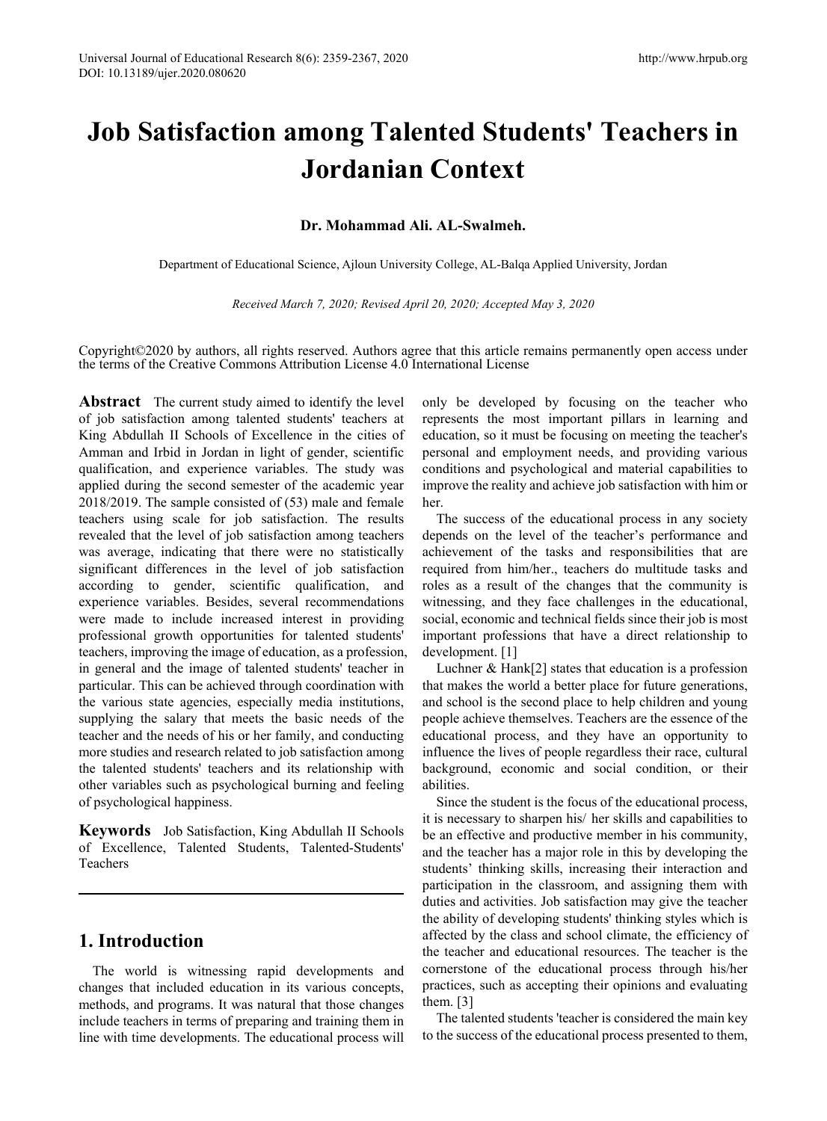# **Job Satisfaction among Talented Students' Teachers in Jordanian Context**

## **Dr. Mohammad Ali. AL-Swalmeh.**

Department of Educational Science, Ajloun University College, AL-Balqa Applied University, Jordan

*Received March 7, 2020; Revised April 20, 2020; Accepted May 3, 2020* 

Copyright©2020 by authors, all rights reserved. Authors agree that this article remains permanently open access under the terms of the Creative Commons Attribution License 4.0 International License

**Abstract** The current study aimed to identify the level of job satisfaction among talented students' teachers at King Abdullah II Schools of Excellence in the cities of Amman and Irbid in Jordan in light of gender, scientific qualification, and experience variables. The study was applied during the second semester of the academic year 2018/2019. The sample consisted of (53) male and female teachers using scale for job satisfaction. The results revealed that the level of job satisfaction among teachers was average, indicating that there were no statistically significant differences in the level of job satisfaction according to gender, scientific qualification, and experience variables. Besides, several recommendations were made to include increased interest in providing professional growth opportunities for talented students' teachers, improving the image of education, as a profession, in general and the image of talented students' teacher in particular. This can be achieved through coordination with the various state agencies, especially media institutions, supplying the salary that meets the basic needs of the teacher and the needs of his or her family, and conducting more studies and research related to job satisfaction among the talented students' teachers and its relationship with other variables such as psychological burning and feeling of psychological happiness.

**Keywords** Job Satisfaction, King Abdullah II Schools of Excellence, Talented Students, Talented-Students' Teachers

# **1. Introduction**

The world is witnessing rapid developments and changes that included education in its various concepts, methods, and programs. It was natural that those changes include teachers in terms of preparing and training them in line with time developments. The educational process will

only be developed by focusing on the teacher who represents the most important pillars in learning and education, so it must be focusing on meeting the teacher's personal and employment needs, and providing various conditions and psychological and material capabilities to improve the reality and achieve job satisfaction with him or her.

The success of the educational process in any society depends on the level of the teacher's performance and achievement of the tasks and responsibilities that are required from him/her., teachers do multitude tasks and roles as a result of the changes that the community is witnessing, and they face challenges in the educational, social, economic and technical fields since their job is most important professions that have a direct relationship to development. [1]

Luchner & Hank[2] states that education is a profession that makes the world a better place for future generations, and school is the second place to help children and young people achieve themselves. Teachers are the essence of the educational process, and they have an opportunity to influence the lives of people regardless their race, cultural background, economic and social condition, or their abilities.

Since the student is the focus of the educational process, it is necessary to sharpen his/ her skills and capabilities to be an effective and productive member in his community, and the teacher has a major role in this by developing the students' thinking skills, increasing their interaction and participation in the classroom, and assigning them with duties and activities. Job satisfaction may give the teacher the ability of developing students' thinking styles which is affected by the class and school climate, the efficiency of the teacher and educational resources. The teacher is the cornerstone of the educational process through his/her practices, such as accepting their opinions and evaluating them. [3]

The talented students 'teacher is considered the main key to the success of the educational process presented to them,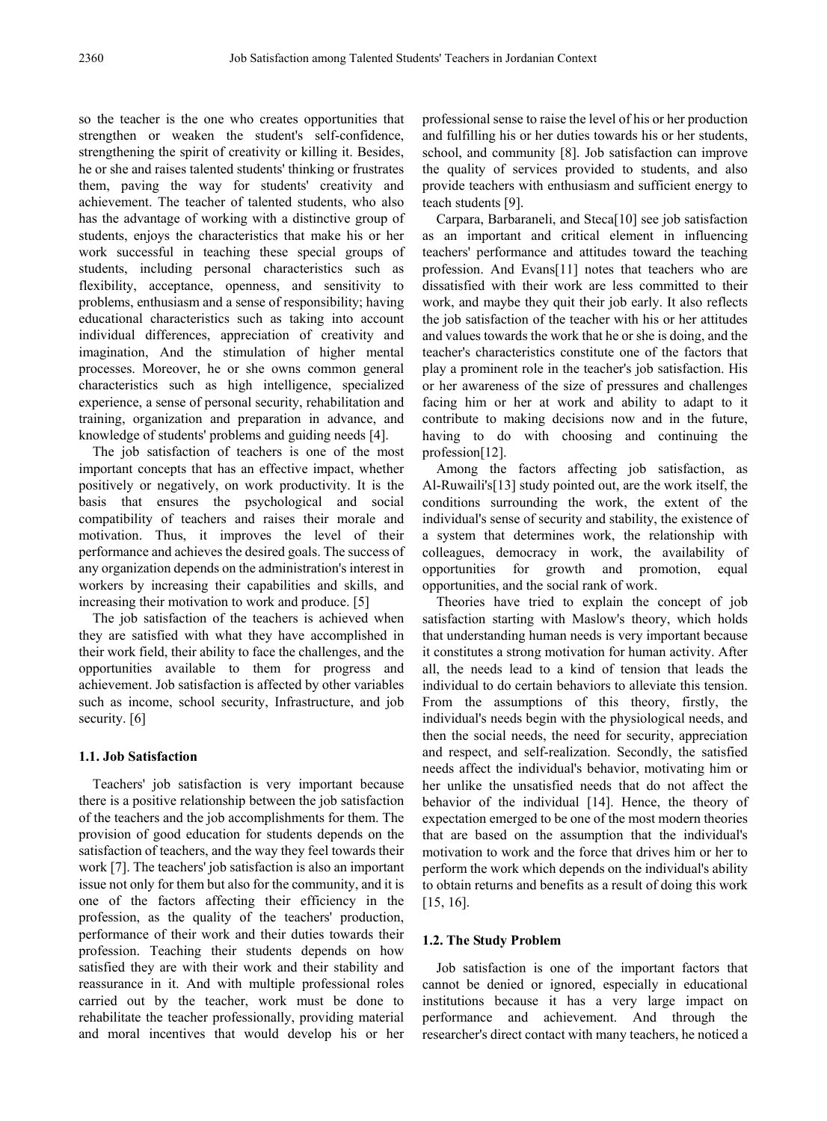so the teacher is the one who creates opportunities that strengthen or weaken the student's self-confidence, strengthening the spirit of creativity or killing it. Besides, he or she and raises talented students' thinking or frustrates them, paving the way for students' creativity and achievement. The teacher of talented students, who also has the advantage of working with a distinctive group of students, enjoys the characteristics that make his or her work successful in teaching these special groups of students, including personal characteristics such as flexibility, acceptance, openness, and sensitivity to problems, enthusiasm and a sense of responsibility; having educational characteristics such as taking into account individual differences, appreciation of creativity and imagination, And the stimulation of higher mental processes. Moreover, he or she owns common general characteristics such as high intelligence, specialized experience, a sense of personal security, rehabilitation and training, organization and preparation in advance, and knowledge of students' problems and guiding needs [4].

The job satisfaction of teachers is one of the most important concepts that has an effective impact, whether positively or negatively, on work productivity. It is the basis that ensures the psychological and social compatibility of teachers and raises their morale and motivation. Thus, it improves the level of their performance and achieves the desired goals. The success of any organization depends on the administration's interest in workers by increasing their capabilities and skills, and increasing their motivation to work and produce. [5]

The job satisfaction of the teachers is achieved when they are satisfied with what they have accomplished in their work field, their ability to face the challenges, and the opportunities available to them for progress and achievement. Job satisfaction is affected by other variables such as income, school security, Infrastructure, and job security. [6]

## **1.1. Job Satisfaction**

Teachers' job satisfaction is very important because there is a positive relationship between the job satisfaction of the teachers and the job accomplishments for them. The provision of good education for students depends on the satisfaction of teachers, and the way they feel towards their work [7]. The teachers' job satisfaction is also an important issue not only for them but also for the community, and it is one of the factors affecting their efficiency in the profession, as the quality of the teachers' production, performance of their work and their duties towards their profession. Teaching their students depends on how satisfied they are with their work and their stability and reassurance in it. And with multiple professional roles carried out by the teacher, work must be done to rehabilitate the teacher professionally, providing material and moral incentives that would develop his or her professional sense to raise the level of his or her production and fulfilling his or her duties towards his or her students, school, and community [8]. Job satisfaction can improve the quality of services provided to students, and also provide teachers with enthusiasm and sufficient energy to teach students [9].

Carpara, Barbaraneli, and Steca[10] see job satisfaction as an important and critical element in influencing teachers' performance and attitudes toward the teaching profession. And Evans[11] notes that teachers who are dissatisfied with their work are less committed to their work, and maybe they quit their job early. It also reflects the job satisfaction of the teacher with his or her attitudes and values towards the work that he or she is doing, and the teacher's characteristics constitute one of the factors that play a prominent role in the teacher's job satisfaction. His or her awareness of the size of pressures and challenges facing him or her at work and ability to adapt to it contribute to making decisions now and in the future, having to do with choosing and continuing the profession[12].

Among the factors affecting job satisfaction, as Al-Ruwaili's[13] study pointed out, are the work itself, the conditions surrounding the work, the extent of the individual's sense of security and stability, the existence of a system that determines work, the relationship with colleagues, democracy in work, the availability of opportunities for growth and promotion, equal opportunities, and the social rank of work.

Theories have tried to explain the concept of job satisfaction starting with Maslow's theory, which holds that understanding human needs is very important because it constitutes a strong motivation for human activity. After all, the needs lead to a kind of tension that leads the individual to do certain behaviors to alleviate this tension. From the assumptions of this theory, firstly, the individual's needs begin with the physiological needs, and then the social needs, the need for security, appreciation and respect, and self-realization. Secondly, the satisfied needs affect the individual's behavior, motivating him or her unlike the unsatisfied needs that do not affect the behavior of the individual [14]. Hence, the theory of expectation emerged to be one of the most modern theories that are based on the assumption that the individual's motivation to work and the force that drives him or her to perform the work which depends on the individual's ability to obtain returns and benefits as a result of doing this work [15, 16].

## **1.2. The Study Problem**

Job satisfaction is one of the important factors that cannot be denied or ignored, especially in educational institutions because it has a very large impact on performance and achievement. And through the researcher's direct contact with many teachers, he noticed a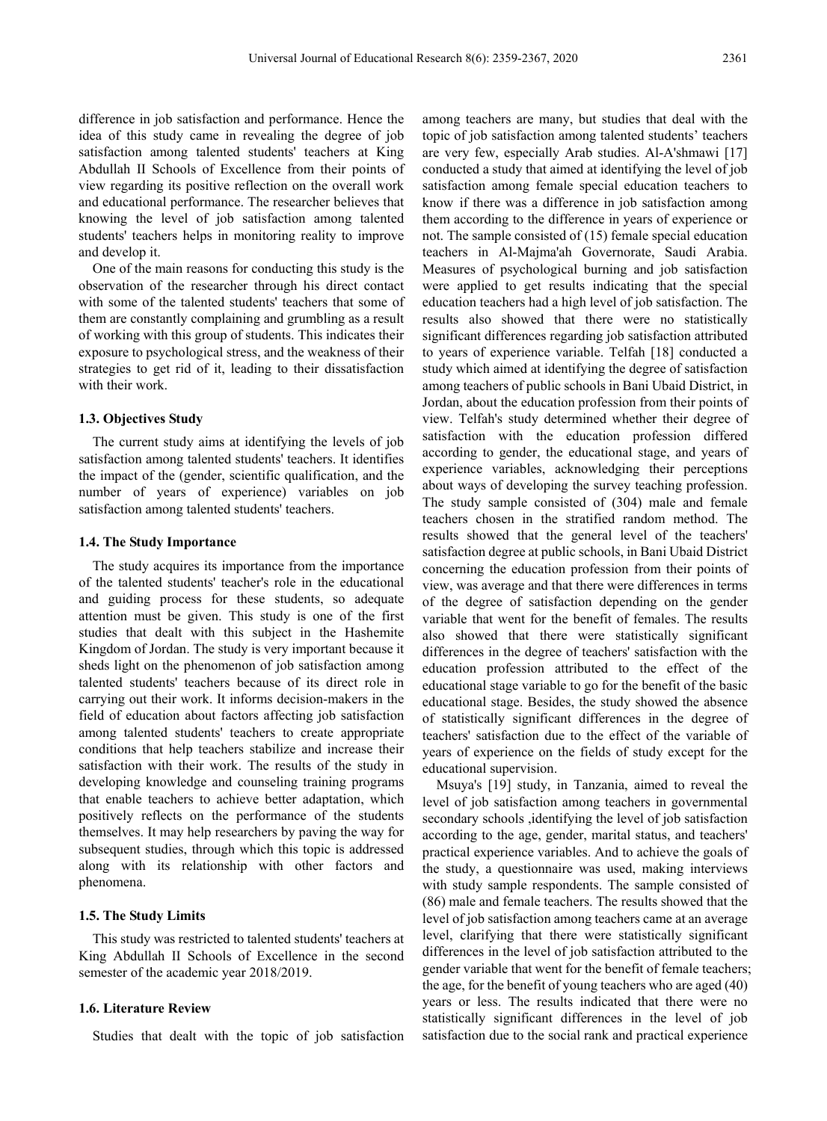difference in job satisfaction and performance. Hence the idea of this study came in revealing the degree of job satisfaction among talented students' teachers at King Abdullah II Schools of Excellence from their points of view regarding its positive reflection on the overall work and educational performance. The researcher believes that knowing the level of job satisfaction among talented students' teachers helps in monitoring reality to improve and develop it.

One of the main reasons for conducting this study is the observation of the researcher through his direct contact with some of the talented students' teachers that some of them are constantly complaining and grumbling as a result of working with this group of students. This indicates their exposure to psychological stress, and the weakness of their strategies to get rid of it, leading to their dissatisfaction with their work.

#### **1.3. Objectives Study**

The current study aims at identifying the levels of job satisfaction among talented students' teachers. It identifies the impact of the (gender, scientific qualification, and the number of years of experience) variables on job satisfaction among talented students' teachers.

## **1.4. The Study Importance**

The study acquires its importance from the importance of the talented students' teacher's role in the educational and guiding process for these students, so adequate attention must be given. This study is one of the first studies that dealt with this subject in the Hashemite Kingdom of Jordan. The study is very important because it sheds light on the phenomenon of job satisfaction among talented students' teachers because of its direct role in carrying out their work. It informs decision-makers in the field of education about factors affecting job satisfaction among talented students' teachers to create appropriate conditions that help teachers stabilize and increase their satisfaction with their work. The results of the study in developing knowledge and counseling training programs that enable teachers to achieve better adaptation, which positively reflects on the performance of the students themselves. It may help researchers by paving the way for subsequent studies, through which this topic is addressed along with its relationship with other factors and phenomena.

## **1.5. The Study Limits**

This study was restricted to talented students' teachers at King Abdullah II Schools of Excellence in the second semester of the academic year 2018/2019.

## **1.6. Literature Review**

Studies that dealt with the topic of job satisfaction

among teachers are many, but studies that deal with the topic of job satisfaction among talented students' teachers are very few, especially Arab studies. Al-A'shmawi [17] conducted a study that aimed at identifying the level of job satisfaction among female special education teachers to know if there was a difference in job satisfaction among them according to the difference in years of experience or not. The sample consisted of (15) female special education teachers in Al-Majma'ah Governorate, Saudi Arabia. Measures of psychological burning and job satisfaction were applied to get results indicating that the special education teachers had a high level of job satisfaction. The results also showed that there were no statistically significant differences regarding job satisfaction attributed to years of experience variable. Telfah [18] conducted a study which aimed at identifying the degree of satisfaction among teachers of public schools in Bani Ubaid District, in Jordan, about the education profession from their points of view. Telfah's study determined whether their degree of satisfaction with the education profession differed according to gender, the educational stage, and years of experience variables, acknowledging their perceptions about ways of developing the survey teaching profession. The study sample consisted of (304) male and female teachers chosen in the stratified random method. The results showed that the general level of the teachers' satisfaction degree at public schools, in Bani Ubaid District concerning the education profession from their points of view, was average and that there were differences in terms of the degree of satisfaction depending on the gender variable that went for the benefit of females. The results also showed that there were statistically significant differences in the degree of teachers' satisfaction with the education profession attributed to the effect of the educational stage variable to go for the benefit of the basic educational stage. Besides, the study showed the absence of statistically significant differences in the degree of teachers' satisfaction due to the effect of the variable of years of experience on the fields of study except for the educational supervision.

Msuya's [19] study, in Tanzania, aimed to reveal the level of job satisfaction among teachers in governmental secondary schools ,identifying the level of job satisfaction according to the age, gender, marital status, and teachers' practical experience variables. And to achieve the goals of the study, a questionnaire was used, making interviews with study sample respondents. The sample consisted of (86) male and female teachers. The results showed that the level of job satisfaction among teachers came at an average level, clarifying that there were statistically significant differences in the level of job satisfaction attributed to the gender variable that went for the benefit of female teachers; the age, for the benefit of young teachers who are aged (40) years or less. The results indicated that there were no statistically significant differences in the level of job satisfaction due to the social rank and practical experience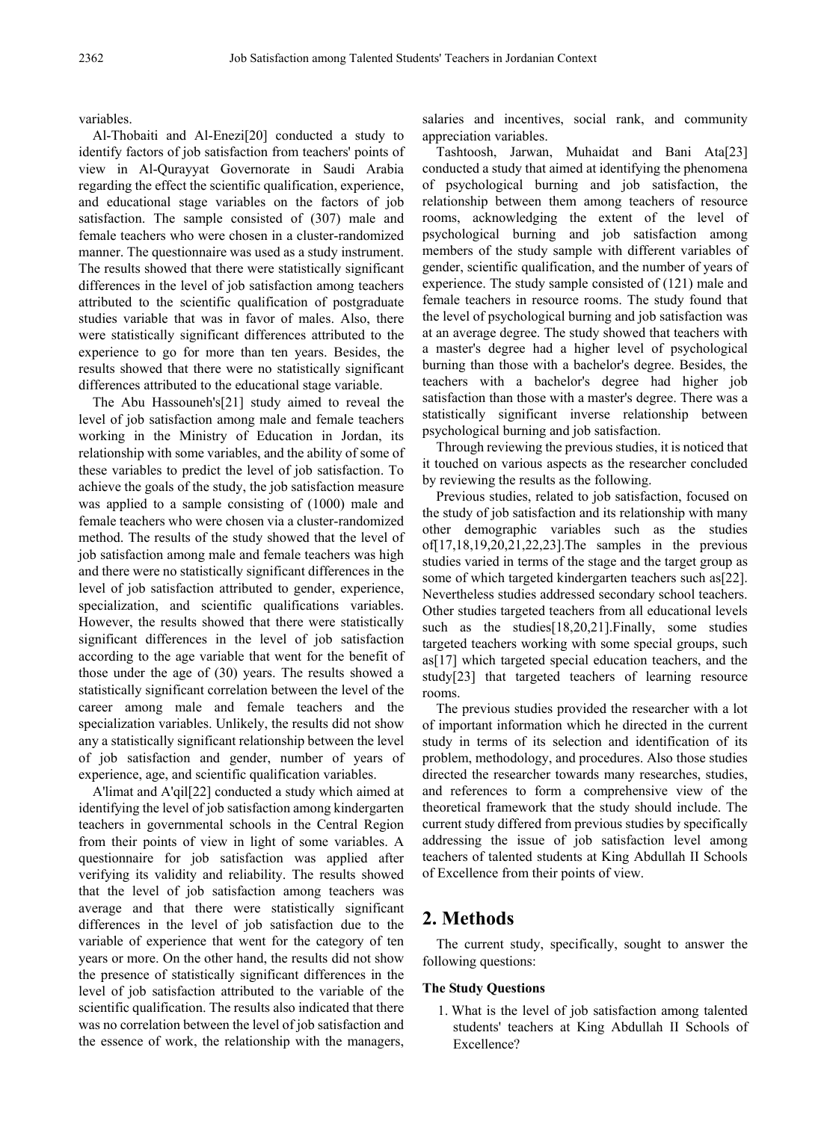#### variables.

Al-Thobaiti and Al-Enezi[20] conducted a study to identify factors of job satisfaction from teachers' points of view in Al-Qurayyat Governorate in Saudi Arabia regarding the effect the scientific qualification, experience, and educational stage variables on the factors of job satisfaction. The sample consisted of (307) male and female teachers who were chosen in a cluster-randomized manner. The questionnaire was used as a study instrument. The results showed that there were statistically significant differences in the level of job satisfaction among teachers attributed to the scientific qualification of postgraduate studies variable that was in favor of males. Also, there were statistically significant differences attributed to the experience to go for more than ten years. Besides, the results showed that there were no statistically significant differences attributed to the educational stage variable.

The Abu Hassouneh's[21] study aimed to reveal the level of job satisfaction among male and female teachers working in the Ministry of Education in Jordan, its relationship with some variables, and the ability of some of these variables to predict the level of job satisfaction. To achieve the goals of the study, the job satisfaction measure was applied to a sample consisting of (1000) male and female teachers who were chosen via a cluster-randomized method. The results of the study showed that the level of job satisfaction among male and female teachers was high and there were no statistically significant differences in the level of job satisfaction attributed to gender, experience, specialization, and scientific qualifications variables. However, the results showed that there were statistically significant differences in the level of job satisfaction according to the age variable that went for the benefit of those under the age of (30) years. The results showed a statistically significant correlation between the level of the career among male and female teachers and the specialization variables. Unlikely, the results did not show any a statistically significant relationship between the level of job satisfaction and gender, number of years of experience, age, and scientific qualification variables.

A'limat and A'qil[22] conducted a study which aimed at identifying the level of job satisfaction among kindergarten teachers in governmental schools in the Central Region from their points of view in light of some variables. A questionnaire for job satisfaction was applied after verifying its validity and reliability. The results showed that the level of job satisfaction among teachers was average and that there were statistically significant differences in the level of job satisfaction due to the variable of experience that went for the category of ten years or more. On the other hand, the results did not show the presence of statistically significant differences in the level of job satisfaction attributed to the variable of the scientific qualification. The results also indicated that there was no correlation between the level of job satisfaction and the essence of work, the relationship with the managers, salaries and incentives, social rank, and community appreciation variables.

Tashtoosh, Jarwan, Muhaidat and Bani Ata[23] conducted a study that aimed at identifying the phenomena of psychological burning and job satisfaction, the relationship between them among teachers of resource rooms, acknowledging the extent of the level of psychological burning and job satisfaction among members of the study sample with different variables of gender, scientific qualification, and the number of years of experience. The study sample consisted of (121) male and female teachers in resource rooms. The study found that the level of psychological burning and job satisfaction was at an average degree. The study showed that teachers with a master's degree had a higher level of psychological burning than those with a bachelor's degree. Besides, the teachers with a bachelor's degree had higher job satisfaction than those with a master's degree. There was a statistically significant inverse relationship between psychological burning and job satisfaction.

Through reviewing the previous studies, it is noticed that it touched on various aspects as the researcher concluded by reviewing the results as the following.

Previous studies, related to job satisfaction, focused on the study of job satisfaction and its relationship with many other demographic variables such as the studies of[17,18,19,20,21,22,23].The samples in the previous studies varied in terms of the stage and the target group as some of which targeted kindergarten teachers such as[22]. Nevertheless studies addressed secondary school teachers. Other studies targeted teachers from all educational levels such as the studies[18,20,21].Finally, some studies targeted teachers working with some special groups, such as[17] which targeted special education teachers, and the study[23] that targeted teachers of learning resource rooms.

The previous studies provided the researcher with a lot of important information which he directed in the current study in terms of its selection and identification of its problem, methodology, and procedures. Also those studies directed the researcher towards many researches, studies, and references to form a comprehensive view of the theoretical framework that the study should include. The current study differed from previous studies by specifically addressing the issue of job satisfaction level among teachers of talented students at King Abdullah II Schools of Excellence from their points of view.

# **2. Methods**

The current study, specifically, sought to answer the following questions:

## **The Study Questions**

1. What is the level of job satisfaction among talented students' teachers at King Abdullah II Schools of Excellence?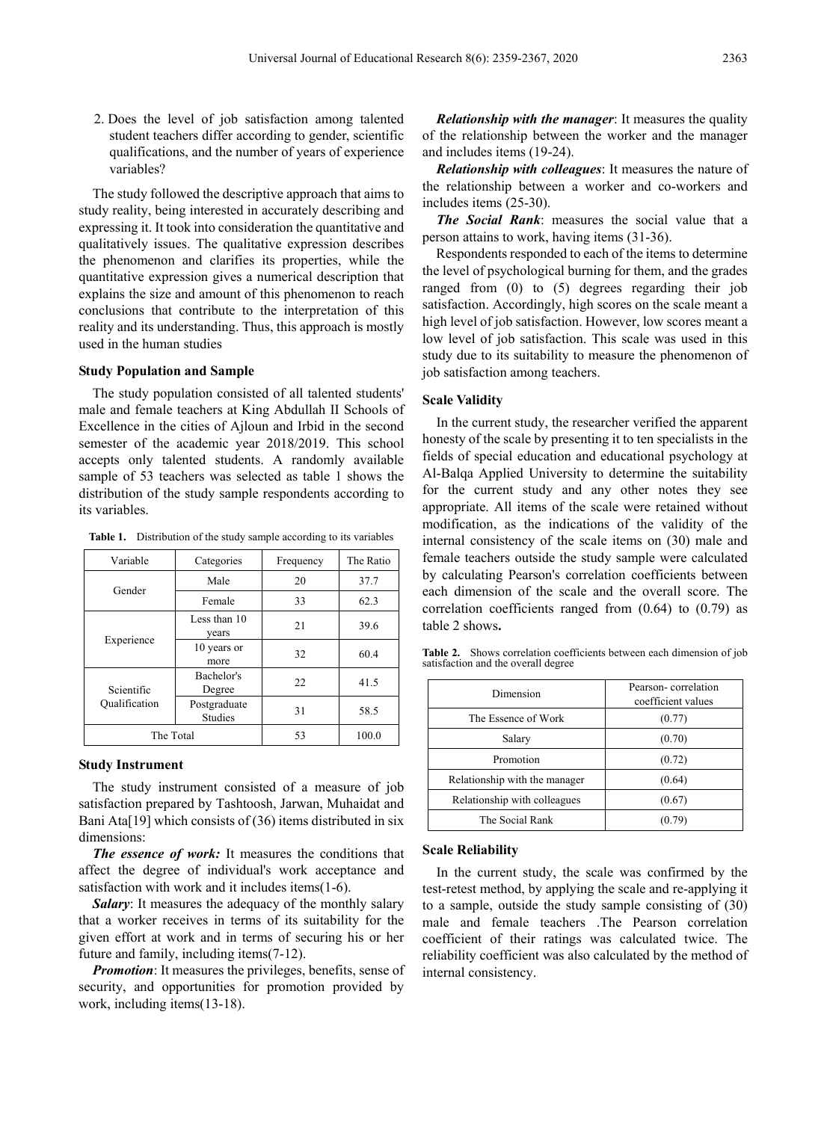2. Does the level of job satisfaction among talented student teachers differ according to gender, scientific qualifications, and the number of years of experience variables?

The study followed the descriptive approach that aims to study reality, being interested in accurately describing and expressing it. It took into consideration the quantitative and qualitatively issues. The qualitative expression describes the phenomenon and clarifies its properties, while the quantitative expression gives a numerical description that explains the size and amount of this phenomenon to reach conclusions that contribute to the interpretation of this reality and its understanding. Thus, this approach is mostly used in the human studies

#### **Study Population and Sample**

The study population consisted of all talented students' male and female teachers at King Abdullah II Schools of Excellence in the cities of Ajloun and Irbid in the second semester of the academic year 2018/2019. This school accepts only talented students. A randomly available sample of 53 teachers was selected as table 1 shows the distribution of the study sample respondents according to its variables.

**Table 1.** Distribution of the study sample according to its variables

| Variable      | Categories                     | Frequency |       |
|---------------|--------------------------------|-----------|-------|
| Gender        | Male                           | 20        | 37.7  |
|               | Female                         | 33        | 62.3  |
| Experience    | Less than 10<br>years          | 21        | 39.6  |
|               | 10 years or<br>more            | 32        | 60.4  |
| Scientific    | Bachelor's<br>Degree           | 22        | 41.5  |
| Qualification | Postgraduate<br><b>Studies</b> | 31        | 58.5  |
| The Total     |                                | 53        | 100.0 |

#### **Study Instrument**

The study instrument consisted of a measure of job satisfaction prepared by Tashtoosh, Jarwan, Muhaidat and Bani Ata[19] which consists of (36) items distributed in six dimensions:

*The essence of work:* It measures the conditions that affect the degree of individual's work acceptance and satisfaction with work and it includes items(1-6).

*Salary*: It measures the adequacy of the monthly salary that a worker receives in terms of its suitability for the given effort at work and in terms of securing his or her future and family, including items(7-12).

*Promotion*: It measures the privileges, benefits, sense of security, and opportunities for promotion provided by work, including items(13-18).

*Relationship with the manager*: It measures the quality of the relationship between the worker and the manager and includes items (19-24).

*Relationship with colleagues*: It measures the nature of the relationship between a worker and co-workers and includes items (25-30).

*The Social Rank*: measures the social value that a person attains to work, having items (31-36).

Respondents responded to each of the items to determine the level of psychological burning for them, and the grades ranged from (0) to (5) degrees regarding their job satisfaction. Accordingly, high scores on the scale meant a high level of job satisfaction. However, low scores meant a low level of job satisfaction. This scale was used in this study due to its suitability to measure the phenomenon of job satisfaction among teachers.

## **Scale Validity**

In the current study, the researcher verified the apparent honesty of the scale by presenting it to ten specialists in the fields of special education and educational psychology at Al-Balqa Applied University to determine the suitability for the current study and any other notes they see appropriate. All items of the scale were retained without modification, as the indications of the validity of the internal consistency of the scale items on (30) male and female teachers outside the study sample were calculated by calculating Pearson's correlation coefficients between each dimension of the scale and the overall score. The correlation coefficients ranged from (0.64) to (0.79) as table 2 shows**.**

| Dimension                     | Pearson-correlation<br>coefficient values |  |
|-------------------------------|-------------------------------------------|--|
| The Essence of Work           | (0.77)                                    |  |
| Salary                        | (0.70)                                    |  |
| Promotion                     | (0.72)                                    |  |
| Relationship with the manager | (0.64)                                    |  |
| Relationship with colleagues  | (0.67)                                    |  |
| The Social Rank               | (0.79)                                    |  |

**Table 2.** Shows correlation coefficients between each dimension of job satisfaction and the overall degree

#### **Scale Reliability**

In the current study, the scale was confirmed by the test-retest method, by applying the scale and re-applying it to a sample, outside the study sample consisting of (30) male and female teachers .The Pearson correlation coefficient of their ratings was calculated twice. The reliability coefficient was also calculated by the method of internal consistency.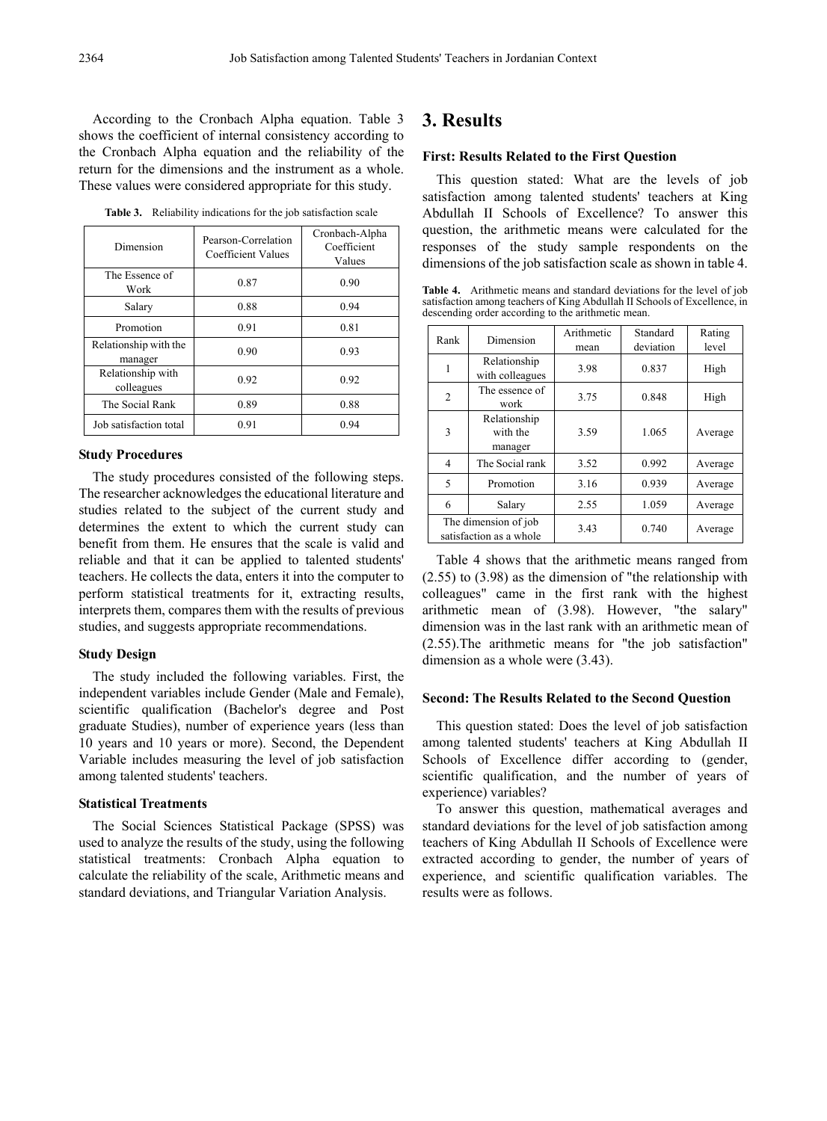According to the Cronbach Alpha equation. Table 3 shows the coefficient of internal consistency according to the Cronbach Alpha equation and the reliability of the return for the dimensions and the instrument as a whole. These values were considered appropriate for this study.

**Table 3.** Reliability indications for the job satisfaction scale

| Dimension                        | Pearson-Correlation<br>Coefficient Values | Cronbach-Alpha<br>Coefficient<br>Values |  |
|----------------------------------|-------------------------------------------|-----------------------------------------|--|
| The Essence of<br>Work           | 0.87                                      | 0.90                                    |  |
| Salary                           | 0.88                                      | 0.94                                    |  |
| Promotion                        | 0.91                                      | 0.81                                    |  |
| Relationship with the<br>manager | 0.90                                      | 0.93                                    |  |
| Relationship with<br>colleagues  | 0.92                                      | 0.92                                    |  |
| The Social Rank                  | 0.89                                      | 0.88                                    |  |
| Job satisfaction total           | 0.91                                      | 0.94                                    |  |

## **Study Procedures**

The study procedures consisted of the following steps. The researcher acknowledges the educational literature and studies related to the subject of the current study and determines the extent to which the current study can benefit from them. He ensures that the scale is valid and reliable and that it can be applied to talented students' teachers. He collects the data, enters it into the computer to perform statistical treatments for it, extracting results, interprets them, compares them with the results of previous studies, and suggests appropriate recommendations.

#### **Study Design**

The study included the following variables. First, the independent variables include Gender (Male and Female), scientific qualification (Bachelor's degree and Post graduate Studies), number of experience years (less than 10 years and 10 years or more). Second, the Dependent Variable includes measuring the level of job satisfaction among talented students' teachers.

#### **Statistical Treatments**

The Social Sciences Statistical Package (SPSS) was used to analyze the results of the study, using the following statistical treatments: Cronbach Alpha equation to calculate the reliability of the scale, Arithmetic means and standard deviations, and Triangular Variation Analysis.

# **3. Results**

#### **First: Results Related to the First Question**

This question stated: What are the levels of job satisfaction among talented students' teachers at King Abdullah II Schools of Excellence? To answer this question, the arithmetic means were calculated for the responses of the study sample respondents on the dimensions of the job satisfaction scale as shown in table 4.

**Table 4.** Arithmetic means and standard deviations for the level of job satisfaction among teachers of King Abdullah II Schools of Excellence, in descending order according to the arithmetic mean.

| Rank           | Dimension                                       | Arithmetic<br>mean | Standard<br>deviation | Rating<br>level |
|----------------|-------------------------------------------------|--------------------|-----------------------|-----------------|
|                | Relationship<br>with colleagues                 | 3.98               | 0.837                 | High            |
| $\overline{c}$ | The essence of<br>work                          | 3.75               | 0.848                 | High            |
| 3              | Relationship<br>with the<br>manager             | 3.59               | 1.065                 | Average         |
| 4              | The Social rank                                 | 3.52               | 0.992                 | Average         |
| 5              | Promotion                                       | 3.16               | 0.939                 | Average         |
| 6              | Salary                                          | 2.55               | 1.059                 | Average         |
|                | The dimension of job<br>satisfaction as a whole | 3.43               | 0.740                 | Average         |

Table 4 shows that the arithmetic means ranged from (2.55) to (3.98) as the dimension of "the relationship with colleagues" came in the first rank with the highest arithmetic mean of (3.98). However, "the salary" dimension was in the last rank with an arithmetic mean of (2.55).The arithmetic means for "the job satisfaction" dimension as a whole were (3.43).

#### **Second: The Results Related to the Second Question**

This question stated: Does the level of job satisfaction among talented students' teachers at King Abdullah II Schools of Excellence differ according to (gender, scientific qualification, and the number of years of experience) variables?

To answer this question, mathematical averages and standard deviations for the level of job satisfaction among teachers of King Abdullah II Schools of Excellence were extracted according to gender, the number of years of experience, and scientific qualification variables. The results were as follows.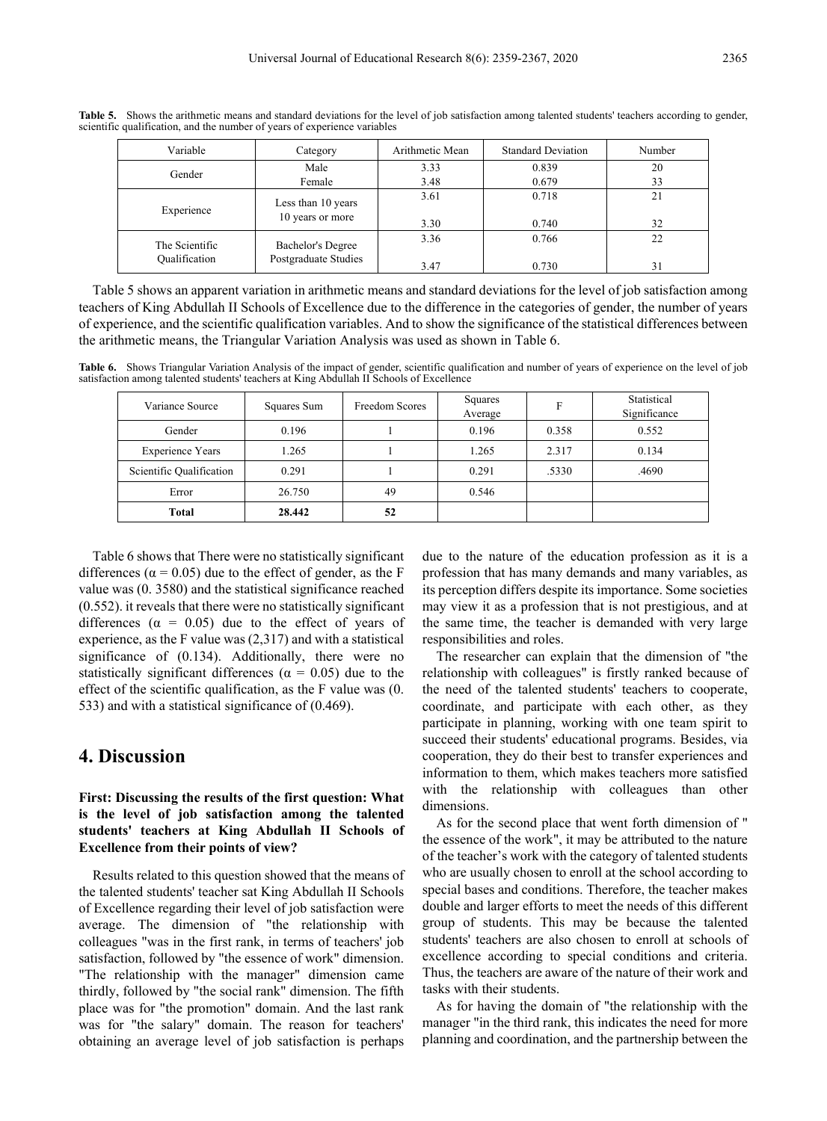| Variable       | Category             | Arithmetic Mean | <b>Standard Deviation</b> | Number |
|----------------|----------------------|-----------------|---------------------------|--------|
| Gender         | Male                 | 3.33            | 0.839                     | 20     |
|                | Female               | 3.48            | 0.679                     | 33     |
| Experience     | Less than 10 years   | 3.61            | 0.718                     | 21     |
|                | 10 years or more     | 3.30            | 0.740                     | 32     |
| The Scientific | Bachelor's Degree    | 3.36            | 0.766                     | 22     |
| Oualification  | Postgraduate Studies | 3.47            | 0.730                     | 31     |

**Table 5.** Shows the arithmetic means and standard deviations for the level of job satisfaction among talented students' teachers according to gender, scientific qualification, and the number of years of experience variables

Table 5 shows an apparent variation in arithmetic means and standard deviations for the level of job satisfaction among teachers of King Abdullah II Schools of Excellence due to the difference in the categories of gender, the number of years of experience, and the scientific qualification variables. And to show the significance of the statistical differences between the arithmetic means, the Triangular Variation Analysis was used as shown in Table 6.

**Table 6.** Shows Triangular Variation Analysis of the impact of gender, scientific qualification and number of years of experience on the level of job satisfaction among talented students' teachers at King Abdullah II Schools of Excellence

| Variance Source          | Squares Sum | Freedom Scores | Squares<br>Average | Е     | Statistical<br>Significance |
|--------------------------|-------------|----------------|--------------------|-------|-----------------------------|
| Gender                   | 0.196       |                | 0.196              | 0.358 | 0.552                       |
| <b>Experience Years</b>  | 1.265       |                | 1.265              | 2.317 | 0.134                       |
| Scientific Qualification | 0.291       |                | 0.291              | .5330 | .4690                       |
| Error                    | 26.750      | 49             | 0.546              |       |                             |
| Total                    | 28.442      | 52             |                    |       |                             |

Table 6 shows that There were no statistically significant differences ( $\alpha$  = 0.05) due to the effect of gender, as the F value was (0. 3580) and the statistical significance reached (0.552). it reveals that there were no statistically significant differences ( $\alpha = 0.05$ ) due to the effect of years of experience, as the F value was (2,317) and with a statistical significance of (0.134). Additionally, there were no statistically significant differences ( $\alpha = 0.05$ ) due to the effect of the scientific qualification, as the F value was (0. 533) and with a statistical significance of (0.469).

# **4. Discussion**

## **First: Discussing the results of the first question: What is the level of job satisfaction among the talented students' teachers at King Abdullah II Schools of Excellence from their points of view?**

Results related to this question showed that the means of the talented students' teacher sat King Abdullah II Schools of Excellence regarding their level of job satisfaction were average. The dimension of "the relationship with colleagues "was in the first rank, in terms of teachers' job satisfaction, followed by "the essence of work" dimension. "The relationship with the manager" dimension came thirdly, followed by "the social rank" dimension. The fifth place was for "the promotion" domain. And the last rank was for "the salary" domain. The reason for teachers' obtaining an average level of job satisfaction is perhaps

due to the nature of the education profession as it is a profession that has many demands and many variables, as its perception differs despite its importance. Some societies may view it as a profession that is not prestigious, and at the same time, the teacher is demanded with very large responsibilities and roles.

The researcher can explain that the dimension of "the relationship with colleagues" is firstly ranked because of the need of the talented students' teachers to cooperate, coordinate, and participate with each other, as they participate in planning, working with one team spirit to succeed their students' educational programs. Besides, via cooperation, they do their best to transfer experiences and information to them, which makes teachers more satisfied with the relationship with colleagues than other dimensions.

As for the second place that went forth dimension of " the essence of the work", it may be attributed to the nature of the teacher's work with the category of talented students who are usually chosen to enroll at the school according to special bases and conditions. Therefore, the teacher makes double and larger efforts to meet the needs of this different group of students. This may be because the talented students' teachers are also chosen to enroll at schools of excellence according to special conditions and criteria. Thus, the teachers are aware of the nature of their work and tasks with their students.

As for having the domain of "the relationship with the manager "in the third rank, this indicates the need for more planning and coordination, and the partnership between the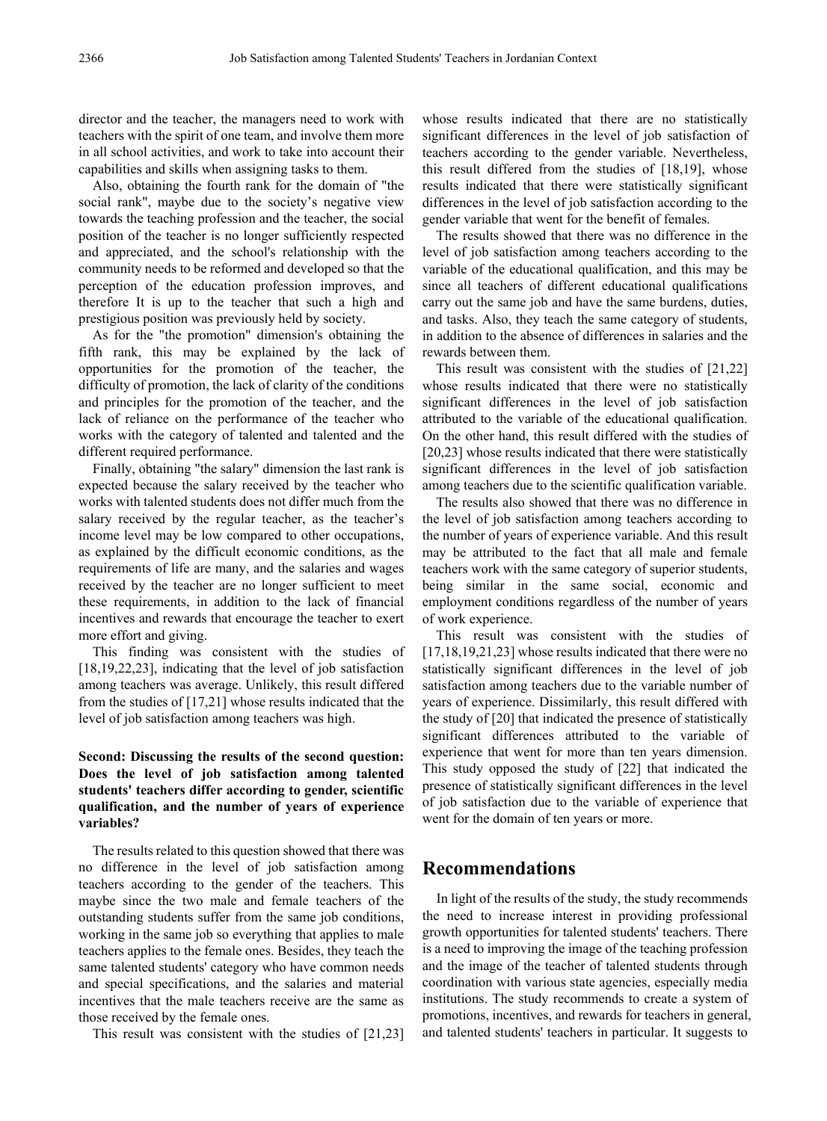director and the teacher, the managers need to work with teachers with the spirit of one team, and involve them more in all school activities, and work to take into account their capabilities and skills when assigning tasks to them.

Also, obtaining the fourth rank for the domain of "the social rank", maybe due to the society's negative view towards the teaching profession and the teacher, the social position of the teacher is no longer sufficiently respected and appreciated, and the school's relationship with the community needs to be reformed and developed so that the perception of the education profession improves, and therefore It is up to the teacher that such a high and prestigious position was previously held by society.

As for the "the promotion" dimension's obtaining the fifth rank, this may be explained by the lack of opportunities for the promotion of the teacher, the difficulty of promotion, the lack of clarity of the conditions and principles for the promotion of the teacher, and the lack of reliance on the performance of the teacher who works with the category of talented and talented and the different required performance.

Finally, obtaining "the salary" dimension the last rank is expected because the salary received by the teacher who works with talented students does not differ much from the salary received by the regular teacher, as the teacher's income level may be low compared to other occupations, as explained by the difficult economic conditions, as the requirements of life are many, and the salaries and wages received by the teacher are no longer sufficient to meet these requirements, in addition to the lack of financial incentives and rewards that encourage the teacher to exert more effort and giving.

This finding was consistent with the studies of [18,19,22,23], indicating that the level of job satisfaction among teachers was average. Unlikely, this result differed from the studies of [17,21] whose results indicated that the level of job satisfaction among teachers was high.

## **Second: Discussing the results of the second question: Does the level of job satisfaction among talented students' teachers differ according to gender, scientific qualification, and the number of years of experience variables?**

The results related to this question showed that there was no difference in the level of job satisfaction among teachers according to the gender of the teachers. This maybe since the two male and female teachers of the outstanding students suffer from the same job conditions, working in the same job so everything that applies to male teachers applies to the female ones. Besides, they teach the same talented students' category who have common needs and special specifications, and the salaries and material incentives that the male teachers receive are the same as those received by the female ones.

This result was consistent with the studies of [21,23]

whose results indicated that there are no statistically significant differences in the level of job satisfaction of teachers according to the gender variable. Nevertheless, this result differed from the studies of [18,19], whose results indicated that there were statistically significant differences in the level of job satisfaction according to the gender variable that went for the benefit of females.

The results showed that there was no difference in the level of job satisfaction among teachers according to the variable of the educational qualification, and this may be since all teachers of different educational qualifications carry out the same job and have the same burdens, duties, and tasks. Also, they teach the same category of students, in addition to the absence of differences in salaries and the rewards between them.

This result was consistent with the studies of [21,22] whose results indicated that there were no statistically significant differences in the level of job satisfaction attributed to the variable of the educational qualification. On the other hand, this result differed with the studies of [20,23] whose results indicated that there were statistically significant differences in the level of job satisfaction among teachers due to the scientific qualification variable.

The results also showed that there was no difference in the level of job satisfaction among teachers according to the number of years of experience variable. And this result may be attributed to the fact that all male and female teachers work with the same category of superior students, being similar in the same social, economic and employment conditions regardless of the number of years of work experience.

This result was consistent with the studies of [17,18,19,21,23] whose results indicated that there were no statistically significant differences in the level of job satisfaction among teachers due to the variable number of years of experience. Dissimilarly, this result differed with the study of [20] that indicated the presence of statistically significant differences attributed to the variable of experience that went for more than ten years dimension. This study opposed the study of [22] that indicated the presence of statistically significant differences in the level of job satisfaction due to the variable of experience that went for the domain of ten years or more.

# **Recommendations**

In light of the results of the study, the study recommends the need to increase interest in providing professional growth opportunities for talented students' teachers. There is a need to improving the image of the teaching profession and the image of the teacher of talented students through coordination with various state agencies, especially media institutions. The study recommends to create a system of promotions, incentives, and rewards for teachers in general, and talented students' teachers in particular. It suggests to